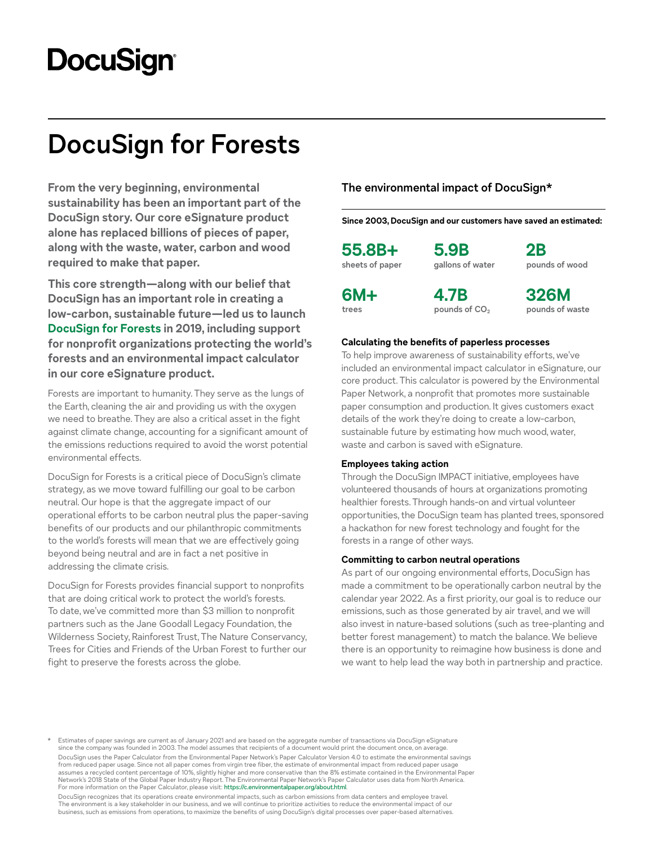# **DocuSign**

# **DocuSign for Forests**

**From the very beginning, environmental sustainability has been an important part of the DocuSign story. Our core eSignature product alone has replaced billions of pieces of paper, along with the waste, water, carbon and wood required to make that paper.** 

**This core strength—along with our belief that DocuSign has an important role in creating a low-carbon, sustainable future—led us to launch [DocuSign for Forests](https://www.docusign.com/forests) in 2019, including support for nonprofit organizations protecting the world's forests and an environmental impact calculator in our core eSignature product.**

Forests are important to humanity. They serve as the lungs of the Earth, cleaning the air and providing us with the oxygen we need to breathe. They are also a critical asset in the fight against climate change, accounting for a significant amount of the emissions reductions required to avoid the worst potential environmental effects.

DocuSign for Forests is a critical piece of DocuSign's climate strategy, as we move toward fulfilling our goal to be carbon neutral. Our hope is that the aggregate impact of our operational efforts to be carbon neutral plus the paper-saving benefits of our products and our philanthropic commitments to the world's forests will mean that we are effectively going beyond being neutral and are in fact a net positive in addressing the climate crisis.

DocuSign for Forests provides financial support to nonprofits that are doing critical work to protect the world's forests. To date, we've committed more than \$3 million to nonprofit partners such as the Jane Goodall Legacy Foundation, the Wilderness Society, Rainforest Trust, The Nature Conservancy, Trees for Cities and Friends of the Urban Forest to further our fight to preserve the forests across the globe.

## **The environmental impact of DocuSign\***

**Since 2003, DocuSign and our customers have saved an estimated:**

**55.8B+ sheets of paper** **5.9B gallons of water**

**2B pounds of wood**

**6M+ trees**

**4.7B pounds of CO2**

**326M pounds of waste**

#### **Calculating the benefits of paperless processes**

To help improve awareness of sustainability efforts, we've included an environmental impact calculator in eSignature, our core product. This calculator is powered by the Environmental Paper Network, a nonprofit that promotes more sustainable paper consumption and production. It gives customers exact details of the work they're doing to create a low-carbon, sustainable future by estimating how much wood, water, waste and carbon is saved with eSignature.

#### **Employees taking action**

Through the DocuSign IMPACT initiative, employees have volunteered thousands of hours at organizations promoting healthier forests. Through hands-on and virtual volunteer opportunities, the DocuSign team has planted trees, sponsored a hackathon for new forest technology and fought for the forests in a range of other ways.

#### **Committing to carbon neutral operations**

As part of our ongoing environmental efforts, DocuSign has made a commitment to be operationally carbon neutral by the calendar year 2022. As a first priority, our goal is to reduce our emissions, such as those generated by air travel, and we will also invest in nature-based solutions (such as tree-planting and better forest management) to match the balance. We believe there is an opportunity to reimagine how business is done and we want to help lead the way both in partnership and practice.

Estimates of paper savings are current as of January 2021 and are based on the aggregate number of transactions via DocuSign eSignature since the company was founded in 2003. The model assumes that recipients of a document would print the document once, on average DocuSign uses the Paper Calculator from the Environmental Paper Network's Paper Calculator Version 4.0 to estimate the environmental savings from reduced paper usage. Since not all paper comes from virgin tree fiber, the estimate of environmental impact from reduced paper usage<br>assumes a recycled content percentage of 10%, slightly higher and more conservative Network's 2018 State of the Global Paper Industry Report. The Environmental Paper Network's Paper Calculator uses data from North America. For more information on the Paper Calculator, please visit: <https://c.environmentalpaper.org/about.html>.

DocuSign recognizes that its operations create environmental impacts, such as carbon emissions from data centers and employee travel. The environment is a key stakeholder in our business, and we will continue to prioritize activities to reduce the environmental impact of our business, such as emissions from operations, to maximize the benefits of using DocuSign's digital processes over paper-based alternatives.